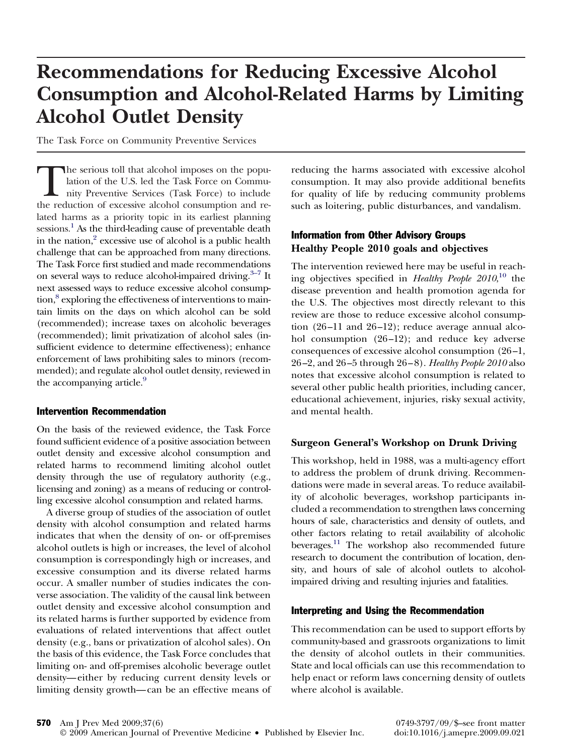# **Recommendations for Reducing Excessive Alcohol Consumption and Alcohol-Related Harms by Limiting Alcohol Outlet Density**

The Task Force on Community Preventive Services

The serious toll that alcohol imposes on the population of the U.S. led the Task Force on Community Preventive Services (Task Force) to include the reduction of excessive alcohol consumption and related harms as a priority topic in its earliest planning sessions.<sup>1</sup> As the third-leading cause of preventable death in the nation,<sup>2</sup> excessive use of alcohol is a public health challenge that can be approached from many directions. The Task Force first studied and made recommendations on several ways to reduce alcohol-impaired driving.<sup>3–7</sup> It next assessed ways to reduce excessive alcohol consump- $\mu$ <sub>8</sub> exploring the effectiveness of interventions to maintain limits on the days on which alcohol can be sold (recommended); increase taxes on alcoholic beverages (recommended); limit privatization of alcohol sales (insufficient evidence to determine effectiveness); enhance enforcement of laws prohibiting sales to minors (recommended); and regulate alcohol outlet density, reviewed in the accompanying article.<sup>9</sup>

#### Intervention Recommendation

On the basis of the reviewed evidence, the Task Force found sufficient evidence of a positive association between outlet density and excessive alcohol consumption and related harms to recommend limiting alcohol outlet density through the use of regulatory authority (e.g., licensing and zoning) as a means of reducing or controlling excessive alcohol consumption and related harms.

A diverse group of studies of the association of outlet density with alcohol consumption and related harms indicates that when the density of on- or off-premises alcohol outlets is high or increases, the level of alcohol consumption is correspondingly high or increases, and excessive consumption and its diverse related harms occur. A smaller number of studies indicates the converse association. The validity of the causal link between outlet density and excessive alcohol consumption and its related harms is further supported by evidence from evaluations of related interventions that affect outlet density (e.g., bans or privatization of alcohol sales). On the basis of this evidence, the Task Force concludes that limiting on- and off-premises alcoholic beverage outlet density— either by reducing current density levels or limiting density growth— can be an effective means of reducing the harms associated with excessive alcohol consumption. It may also provide additional benefits for quality of life by reducing community problems such as loitering, public disturbances, and vandalism.

## Information from Other Advisory Groups **Healthy People 2010 goals and objectives**

The intervention reviewed here may be useful in reaching objectives specified in *Healthy People 2010*, [10](#page-1-0) the disease prevention and health promotion agenda for the U.S. The objectives most directly relevant to this review are those to reduce excessive alcohol consumption (26 –11 and 26 –12); reduce average annual alcohol consumption (26–12); and reduce key adverse consequences of excessive alcohol consumption (26 –1, 26 –2, and 26 –5 through 26 – 8). *Healthy People 2010* also notes that excessive alcohol consumption is related to several other public health priorities, including cancer, educational achievement, injuries, risky sexual activity, and mental health.

### **Surgeon General's Workshop on Drunk Driving**

This workshop, held in 1988, was a multi-agency effort to address the problem of drunk driving. Recommendations were made in several areas. To reduce availability of alcoholic beverages, workshop participants included a recommendation to strengthen laws concerning hours of sale, characteristics and density of outlets, and other factors relating to retail availability of alcoholic beverages.<sup>11</sup> The workshop also recommended future research to document the contribution of location, density, and hours of sale of alcohol outlets to alcoholimpaired driving and resulting injuries and fatalities.

#### Interpreting and Using the Recommendation

This recommendation can be used to support efforts by community-based and grassroots organizations to limit the density of alcohol outlets in their communities. State and local officials can use this recommendation to help enact or reform laws concerning density of outlets where alcohol is available.